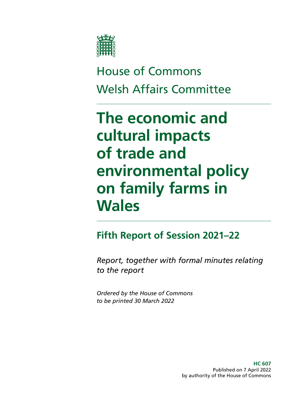

# House of Commons Welsh Affairs Committee

# **The economic and cultural impacts of trade and environmental policy on family farms in Wales**

## **Fifth Report of Session 2021–22**

*Report, together with formal minutes relating to the report*

*Ordered by the House of Commons to be printed 30 March 2022*

> **HC 607** Published on 7 April 2022 by authority of the House of Commons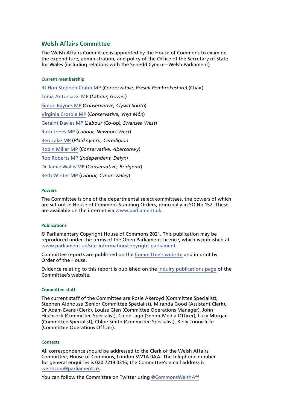#### **Welsh Affairs Committee**

The Welsh Affairs Committee is appointed by the House of Commons to examine the expenditure, administration, and policy of the Office of the Secretary of State for Wales (including relations with the Senedd Cymru—Welsh Parliament).

#### **Current membership**

[Rt Hon Stephen Crabb MP](https://members.parliament.uk/member/1554/contact) (*Conservative, Preseli Pembrokeshire*) (Chair) [Tonia Antoniazzi MP](https://members.parliament.uk/member/4623/contact) (*Labour, Gower*) [Simon Baynes MP](https://members.parliament.uk/member/4800/contact) (*Conservative, Clywd South*) [Virginia Crosbie MP](https://members.parliament.uk/member/4859/contact) (*Conservative, Ynys Môn*) [Geraint Davies MP](https://members.parliament.uk/member/155/contact) (*Labour (Co-op), Swansea West*) [Ruth Jones MP](https://members.parliament.uk/member/4716/contact) (*Labour, Newport West*) [Ben Lake MP](https://members.parliament.uk/member/4630/contact) (*Plaid Cymru, Ceredigion* [Robin Millar MP](https://members.parliament.uk/member/4746/contact) (*Conservative, Aberconwy*) [Rob Roberts MP](https://members.parliament.uk/member/4810/contact) (*Independent, Delyn*) [Dr Jamie Wallis MP](https://members.parliament.uk/member/4766/contact) (*Conservative, Bridgend*) [Beth Winter MP](https://members.parliament.uk/member/4809/contact) (*Labour, Cynon Valley*)

#### **Powers**

The Committee is one of the departmental select committees, the powers of which are set out in House of Commons Standing Orders, principally in SO No 152. These are available on the internet via [www.parliament.uk.](https://www.parliament.uk/)

#### **Publications**

© Parliamentary Copyright House of Commons 2021. This publication may be reproduced under the terms of the Open Parliament Licence, which is published at [www.parliament.uk/site-information/copyright-parliament](https://www.parliament.uk/site-information/copyright-parliament/)

Committee reports are published on the [Committee's website](https://committees.parliament.uk/committee/162/welsh-affairs-committee/publications/) and in print by Order of the House.

Evidence relating to this report is published on the [inquiry publications page](https://committees.parliament.uk/work/1424/the-economic-and-cultural-impacts-of-trade-and-environmental-policy-on-family-farms-in-wales/publications/) of the Committee's website.

#### **Committee staff**

The current staff of the Committee are Rosie Akeroyd (Committee Specialist), Stephen Aldhouse (Senior Committee Specialist), Miranda Good (Assistant Clerk), Dr Adam Evans (Clerk), Louise Glen (Committee Operations Manager), John Hitchcock (Committee Specialist), Chloe Jago (Senior Media Officer), Lucy Morgan (Committee Specialist), Chloe Smith (Committee Specialist), Kelly Tunnicliffe (Committee Operations Officer).

#### **Contacts**

All correspondence should be addressed to the Clerk of the Welsh Affairs Committee, House of Commons, London SW1A 0AA. The telephone number for general enquiries is 020 7219 0316; the Committee's email address is [welshcom@parliament.uk](mailto:welshcom%40parliament.uk?subject=).

You can follow the Committee on Twitter using [@CommonsWelshAff](https://twitter.com/CommonsWelshAff?ref_src=twsrc%5Egoogle%7Ctwcamp%5Eserp%7Ctwgr%5Eauthor)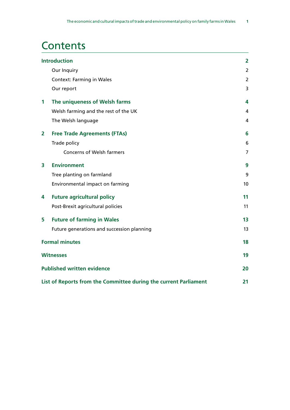## **Contents**

| <b>Introduction</b>   |                                                                  | $\overline{2}$ |
|-----------------------|------------------------------------------------------------------|----------------|
|                       | Our Inquiry                                                      | $\overline{2}$ |
|                       | <b>Context: Farming in Wales</b>                                 | $\overline{2}$ |
|                       | Our report                                                       | 3              |
| 1                     | The uniqueness of Welsh farms                                    | 4              |
|                       | Welsh farming and the rest of the UK                             | 4              |
|                       | The Welsh language                                               | 4              |
| $\overline{2}$        | <b>Free Trade Agreements (FTAs)</b>                              | 6              |
|                       | Trade policy                                                     | 6              |
|                       | <b>Concerns of Welsh farmers</b>                                 | 7              |
| 3                     | <b>Environment</b>                                               | 9              |
|                       | Tree planting on farmland                                        | 9              |
|                       | Environmental impact on farming                                  | 10             |
| 4                     | <b>Future agricultural policy</b>                                | 11             |
|                       | Post-Brexit agricultural policies                                | 11             |
| 5                     | <b>Future of farming in Wales</b>                                | 13             |
|                       | Future generations and succession planning                       | 13             |
| <b>Formal minutes</b> |                                                                  | 18             |
|                       | <b>Witnesses</b>                                                 | 19             |
|                       | <b>Published written evidence</b>                                | 20             |
|                       | List of Reports from the Committee during the current Parliament | 21             |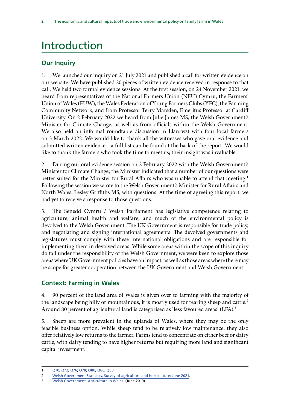## <span id="page-3-0"></span>Introduction

### **Our Inquiry**

1. We launched our inquiry on 21 July 2021 and published a call for written evidence on our website. We have published 20 pieces of written evidence received in response to that call. We held two formal evidence sessions. At the first session, on 24 November 2021, we heard from representatives of the National Farmers Union (NFU) Cymru, the Farmers' Union of Wales (FUW), the Wales Federation of Young Farmers Clubs (YFC), the Farming Community Network, and from Professor Terry Marsden, Emeritus Professor at Cardiff University. On 2 February 2022 we heard from Julie James MS, the Welsh Government's Minister for Climate Change, as well as from officials within the Welsh Government. We also held an informal roundtable discussion in Llanrwst with four local farmers on 3 March 2022. We would like to thank all the witnesses who gave oral evidence and submitted written evidence—a full list can be found at the back of the report. We would like to thank the farmers who took the time to meet us; their insight was invaluable.

2. During our oral evidence session on 2 February 2022 with the Welsh Government's Minister for Climate Change; the Minister indicated that a number of our questions were better suited for the Minister for Rural Affairs who was unable to attend that meeting.<sup>1</sup> Following the session we wrote to the Welsh Government's Minister for Rural Affairs and North Wales, Lesley Griffiths MS, with questions. At the time of agreeing this report, we had yet to receive a response to those questions.

3. The Senedd Cymru / Welsh Parliament has legislative competence relating to agriculture, animal health and welfare; and much of the environmental policy is devolved to the Welsh Government. The UK Government is responsible for trade policy, and negotiating and signing international agreements. The devolved governments and legislatures must comply with these international obligations and are responsible for implementing them in devolved areas. While some areas within the scope of this inquiry do fall under the responsibility of the Welsh Government, we were keen to explore those areas where UK Government policies have an impact, as well as those areas where there may be scope for greater cooperation between the UK Government and Welsh Government.

### **Context: Farming in Wales**

4. 90 percent of the land area of Wales is given over to farming with the majority of the landscape being hilly or mountainous, it is mostly used for rearing sheep and cattle.<sup>2</sup> Around 80 percent of agricultural land is categorised as 'less favoured areas' (LFA).<sup>3</sup>

5. Sheep are more prevalent in the uplands of Wales, where they may be the only feasible business option. While sheep tend to be relatively low maintenance, they also offer relatively low returns to the farmer. Farms tend to concentrate on either beef or dairy cattle, with dairy tending to have higher returns but requiring more land and significant capital investment.

<sup>1</sup> [Q70; Q72](https://committees.parliament.uk/oralevidence/3393/pdf/); [Q76](https://committees.parliament.uk/oralevidence/3393/pdf/); [Q78;](https://committees.parliament.uk/oralevidence/3393/pdf/) [Q80;](https://committees.parliament.uk/oralevidence/3393/pdf/) [Q86;](https://committees.parliament.uk/oralevidence/3393/pdf/) [Q88](https://committees.parliament.uk/oralevidence/3393/pdf/)

<sup>2</sup> [Welsh Government Statistics, Survey of agriculture and horticulture: June 2021](https://gov.wales/survey-agriculture-and-horticulture-june-2021).

<sup>3</sup> [Welsh Government, Agriculture in Wales](https://gov.wales/agriculture-wales). (June 2019)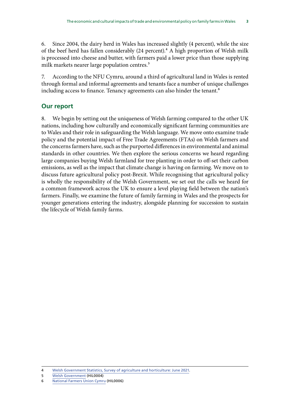<span id="page-4-0"></span>6. Since 2004, the dairy herd in Wales has increased slightly (4 percent), while the size of the beef herd has fallen considerably (24 percent).<sup>4</sup> A high proportion of Welsh milk is processed into cheese and butter, with farmers paid a lower price than those supplying milk markets nearer large population centres.<sup>5</sup>

7. According to the NFU Cymru, around a third of agricultural land in Wales is rented through formal and informal agreements and tenants face a number of unique challenges including access to finance. Tenancy agreements can also hinder the tenant.<sup>6</sup>

### **Our report**

8. We begin by setting out the uniqueness of Welsh farming compared to the other UK nations, including how culturally and economically significant farming communities are to Wales and their role in safeguarding the Welsh language. We move onto examine trade policy and the potential impact of Free Trade Agreements (FTAs) on Welsh farmers and the concerns farmers have, such as the purported differences in environmental and animal standards in other countries. We then explore the serious concerns we heard regarding large companies buying Welsh farmland for tree planting in order to off-set their carbon emissions, as well as the impact that climate change is having on farming. We move on to discuss future agricultural policy post-Brexit. While recognising that agricultural policy is wholly the responsibility of the Welsh Government, we set out the calls we heard for a common framework across the UK to ensure a level playing field between the nation's farmers. Finally, we examine the future of family farming in Wales and the prospects for younger generations entering the industry, alongside planning for succession to sustain the lifecycle of Welsh family farms.

<sup>4</sup> [Welsh Government Statistics, Survey of agriculture and horticulture: June 2021](https://gov.wales/survey-agriculture-and-horticulture-june-2021).

<sup>5</sup> [Welsh Government](https://committees.parliament.uk/writtenevidence/40189/pdf/) (HIL0004)

<sup>6</sup> [National Farmers Union Cymru](https://committees.parliament.uk/writtenevidence/40398/pdf/) (HIL0006)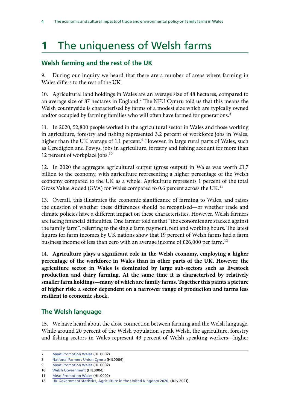## <span id="page-5-0"></span>**1** The uniqueness of Welsh farms

### **Welsh farming and the rest of the UK**

9. During our inquiry we heard that there are a number of areas where farming in Wales differs to the rest of the UK.

10. Agricultural land holdings in Wales are an average size of 48 hectares, compared to an average size of 87 hectares in England.<sup>7</sup> The NFU Cymru told us that this means the Welsh countryside is characterised by farms of a modest size which are typically owned and/or occupied by farming families who will often have farmed for generations.<sup>8</sup>

11. In 2020, 52,800 people worked in the agricultural sector in Wales and those working in agriculture, forestry and fishing represented 3.2 percent of workforce jobs in Wales, higher than the UK average of 1.1 percent.<sup>9</sup> However, in large rural parts of Wales, such as Ceredigion and Powys, jobs in agriculture, forestry and fishing account for more than 12 percent of workplace jobs.<sup>10</sup>

12. In 2020 the aggregate agricultural output (gross output) in Wales was worth £1.7 billion to the economy, with agriculture representing a higher percentage of the Welsh economy compared to the UK as a whole. Agriculture represents 1 percent of the total Gross Value Added (GVA) for Wales compared to 0.6 percent across the UK.<sup>11</sup>

13. Overall, this illustrates the economic significance of farming to Wales, and raises the question of whether these differences should be recognised—or whether trade and climate policies have a different impact on these characteristics. However, Welsh farmers are facing financial difficulties. One farmer told us that "the economics are stacked against the family farm", referring to the single farm payment, rent and working hours. The latest figures for farm incomes by UK nations show that 19 percent of Welsh farms had a farm business income of less than zero with an average income of £26,000 per farm.<sup>12</sup>

14. **Agriculture plays a significant role in the Welsh economy, employing a higher percentage of the workforce in Wales than in other parts of the UK. However, the agriculture sector in Wales is dominated by large sub-sectors such as livestock production and dairy farming. At the same time it is characterised by relatively smaller farm holdings—many of which are family farms. Together this paints a picture of higher risk: a sector dependent on a narrower range of production and farms less resilient to economic shock.**

### **The Welsh language**

15. We have heard about the close connection between farming and the Welsh language. While around 20 percent of the Welsh population speak Welsh, the agriculture, forestry and fishing sectors in Wales represent 43 percent of Welsh speaking workers—higher

<sup>7</sup> [Meat Promotion Wales](https://committees.parliament.uk/writtenevidence/38878/pdf/) (HIL0002)

<sup>8</sup> [National Farmers Union Cymru](https://committees.parliament.uk/writtenevidence/40398/pdf/) (HIL0006)

<sup>9</sup> [Meat Promotion Wales](https://committees.parliament.uk/writtenevidence/38878/pdf/) (HIL0002)

<sup>10</sup> [Welsh Government](https://committees.parliament.uk/writtenevidence/40189/pdf/) (HIL0004)

<sup>11</sup> [Meat Promotion Wales](https://committees.parliament.uk/writtenevidence/38878/pdf/) (HIL0002)

<sup>12</sup> [UK Government statistics, Agriculture in the United Kingdom 2020.](https://assets.publishing.service.gov.uk/government/uploads/system/uploads/attachment_data/file/1056618/AUK2020_22feb22.pdf) (July 2021)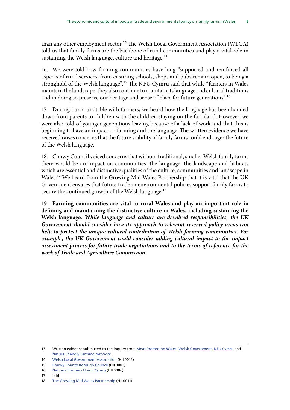than any other employment sector.<sup>13</sup> The Welsh Local Government Association (WLGA) told us that family farms are the backbone of rural communities and play a vital role in sustaining the Welsh language, culture and heritage.<sup>14</sup>

16. We were told how farming communities have long "supported and reinforced all aspects of rural services, from ensuring schools, shops and pubs remain open, to being a stronghold of the Welsh language".15 The NFU Cymru said that while "farmers in Wales maintain the landscape, they also continue to maintain its language and cultural traditions and in doing so preserve our heritage and sense of place for future generations".<sup>16</sup>

17. During our roundtable with farmers, we heard how the language has been handed down from parents to children with the children staying on the farmland. However, we were also told of younger generations leaving because of a lack of work and that this is beginning to have an impact on farming and the language. The written evidence we have received raises concerns that the future viability of family farms could endanger the future of the Welsh language.

18. Conwy Council voiced concerns that without traditional, smaller Welsh family farms there would be an impact on communities, the language, the landscape and habitats which are essential and distinctive qualities of the culture, communities and landscape in Wales.17 We heard from the Growing Mid Wales Partnership that it is vital that the UK Government ensures that future trade or environmental policies support family farms to secure the continued growth of the Welsh language.<sup>18</sup>

19. **Farming communities are vital to rural Wales and play an important role in defining and maintaining the distinctive culture in Wales, including sustaining the Welsh language.** *While language and culture are devolved responsibilities, the UK Government should consider how its approach to relevant reserved policy areas can help to protect the unique cultural contribution of Welsh farming communities. For*  example, the UK Government could consider adding cultural impact to the impact *assessment process for future trade negotiations and to the terms of reference for the work of Trade and Agriculture Commission.*

<sup>13</sup> Written evidence submitted to the inquiry from [Meat Promotion Wales,](https://committees.parliament.uk/writtenevidence/38878/pdf/) [Welsh Government](https://committees.parliament.uk/writtenevidence/40189/pdf/), [NFU Cymru](https://committees.parliament.uk/writtenevidence/40398/pdf/) and [Nature Friendly Farming Network.](https://committees.parliament.uk/writtenevidence/40886/pdf/)

<sup>14</sup> [Welsh Local Government Association](https://committees.parliament.uk/writtenevidence/40515/pdf/) (HIL0012)

<sup>15</sup> [Conwy County Borough Council](https://committees.parliament.uk/writtenevidence/39591/pdf/) (HIL0003)

<sup>16</sup> [National Farmers Union Cymru](https://committees.parliament.uk/writtenevidence/40398/pdf/) (HIL0006)

<sup>17</sup> Ibid

<sup>18</sup> [The Growing Mid Wales Partnership](https://committees.parliament.uk/writtenevidence/40456/pdf/) (HIL0011)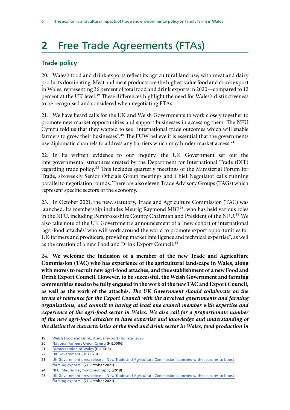## <span id="page-7-0"></span>**2** Free Trade Agreements (FTAs)

### **Trade policy**

20. Wales's food and drink exports reflect its agricultural land use, with meat and dairy products dominating. Meat and meat products are the highest value food and drink export in Wales, representing 36 percent of total food and drink exports in 2020—compared to 12 percent at the UK level.<sup>19</sup> These differences highlight the need for Wales's distinctiveness to be recognised and considered when negotiating FTAs.

21. We have heard calls for the UK and Welsh Governments to work closely together to promote new market opportunities and support businesses in accessing them. The NFU Cymru told us that they wanted to see "international trade outcomes which will enable farmers to grow their businesses".<sup>20</sup> The FUW believe it is essential that the governments use diplomatic channels to address any barriers which may hinder market access.<sup>21</sup>

22. In its written evidence to our inquiry, the UK Government set out the intergovernmental structures created by the Department for International Trade (DIT) regarding trade policy.22 This includes quarterly meetings of the Ministerial Forum for Trade, six-weekly Senior Officials Group meetings and Chief Negotiator calls running parallel to negotiation rounds. There are also eleven Trade Advisory Groups (TAGs) which represent specific sectors of the economy.

23. In October 2021, the new, statutory, Trade and Agriculture Commission (TAC) was launched. Its membership includes Meurig Raymond MBE<sup>23</sup>, who has held various roles in the NFU, including Pembrokeshire County Chairman and President of the NFU.<sup>24</sup> We also take note of the UK Government's announcement of a "new cohort of international 'agri-food attachés' who will work around the world to promote export opportunities for UK farmers and producers, providing market intelligence and technical expertise", as well as the creation of a new Food and Drink Export Council.<sup>25</sup>

24. **We welcome the inclusion of a member of the new Trade and Agriculture Commission (TAC) who has experience of the agricultural landscape in Wales, along with moves to recruit new agri-food attachés, and the establishment of a new Food and Drink Export Council. However, to be successful, the Welsh Government and farming communities need to be fully engaged in the work of the new TAC and Export Council, as well as the work of the attachés.** *The UK Government should collaborate on the terms of reference for the Export Council with the devolved governments and farming organisations, and commit to having at least one council member with expertise and*  experience of the agri-food sector in Wales. We also call for a proportionate number *of the new agri-food attachés to have expertise and knowledge and understanding of the distinctive characteristics of the food and drink sector in Wales, food production in* 

<sup>19</sup> [Welsh Food and Drink, Annual exports bulletin 2020.](https://businesswales.gov.wales/foodanddrink/sites/foodanddrink/files/documents/2021-08-09%20-%20Food%20and%20Drink%20annual%20exports%20briefing%202020%20-%20English%20-%20FINAL.pdf)

<sup>20</sup> [National Farmers Union Cymru](https://committees.parliament.uk/writtenevidence/40398/pdf/) (HIL0006)

<sup>21</sup> [Farmers Union of Wales](https://committees.parliament.uk/writtenevidence/40528/pdf/) (HIL0013)

<sup>22</sup> [UK Government](https://committees.parliament.uk/writtenevidence/42110/pdf/) (HIL0020)

<sup>23</sup> UK Government press release: 'New Trade and Agriculture Commission launched with measures to boost [farming exports'](https://www.gov.uk/government/news/new-trade-and-agriculture-commission-launched-with-measures-to-boost-farming-exports). (21 October 2021)

<sup>24</sup> [NFU, Meurig Raymond biography](https://www.nfuonline.com/archive?treeid=104514) (2018)

<sup>25</sup> [UK Government press release: 'New Trade and Agriculture Commission launched with measures to boost](https://www.gov.uk/government/news/new-trade-and-agriculture-commission-launched-with-measures-to-boost-farming-exports)  [farming exports'](https://www.gov.uk/government/news/new-trade-and-agriculture-commission-launched-with-measures-to-boost-farming-exports). (21 October 2021)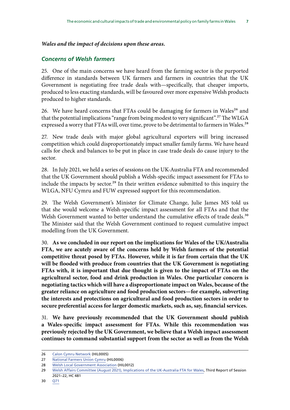#### <span id="page-8-0"></span>*Wales and the impact of decisions upon these areas.*

#### *Concerns of Welsh farmers*

25. One of the main concerns we have heard from the farming sector is the purported difference in standards between UK farmers and farmers in countries that the UK Government is negotiating free trade deals with—specifically, that cheaper imports, produced to less exacting standards, will be favoured over more expensive Welsh products produced to higher standards.

26. We have heard concerns that FTAs could be damaging for farmers in Wales<sup>26</sup> and that the potential implications "range from being modest to very significant".<sup>27</sup> The WLGA expressed a worry that FTAs will, over time, prove to be detrimental to farmers in Wales.<sup>28</sup>

27. New trade deals with major global agricultural exporters will bring increased competition which could disproportionately impact smaller family farms. We have heard calls for check and balances to be put in place in case trade deals do cause injury to the sector.

28. In July 2021, we held a series of sessions on the UK-Australia FTA and recommended that the UK Government should publish a Welsh-specific impact assessment for FTAs to include the impacts by sector.<sup>29</sup> In their written evidence submitted to this inquiry the WLGA, NFU Cymru and FUW expressed support for this recommendation.

29. The Welsh Government's Minister for Climate Change, Julie James MS told us that she would welcome a Welsh-specific impact assessment for all FTAs and that the Welsh Government wanted to better understand the cumulative effects of trade deals.<sup>30</sup> The Minister said that the Welsh Government continued to request cumulative impact modelling from the UK Government.

30. **As we concluded in our report on the implications for Wales of the UK/Australia FTA, we are acutely aware of the concerns held by Welsh farmers of the potential competitive threat posed by FTAs. However, while it is far from certain that the UK will be flooded with produce from countries that the UK Government is negotiating FTAs with, it is important that due thought is given to the impact of FTAs on the agricultural sector, food and drink production in Wales. One particular concern is negotiating tactics which will have a disproportionate impact on Wales, because of the greater reliance on agriculture and food production sectors—for example, subverting the interests and protections on agricultural and food production sectors in order to secure preferential access for larger domestic markets, such as, say, financial services.**

31. **We have previously recommended that the UK Government should publish a Wales-specific impact assessment for FTAs. While this recommendation was previously rejected by the UK Government, we believe that a Welsh impact assessment continues to command substantial support from the sector as well as from the Welsh** 

<sup>26</sup> [Calon Cymru Network](https://committees.parliament.uk/writtenevidence/40395/pdf/) (HIL0005)

<sup>27</sup> [National Farmers Union Cymru](https://committees.parliament.uk/writtenevidence/40398/pdf/) (HIL0006)

<sup>28</sup> [Welsh Local Government Association](https://committees.parliament.uk/writtenevidence/40515/pdf/) (HIL0012)

<sup>29</sup> [Welsh Affairs Committee \(August 2021\), Implications of the UK-Australia FTA for Wales](https://committees.parliament.uk/publications/7027/documents/72981/default/), Third Report of Session 2021–22, HC 481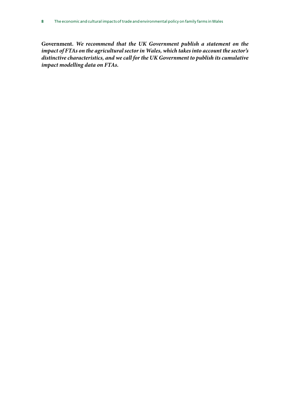**Government.** *We recommend that the UK Government publish a statement on the impact of FTAs on the agricultural sector in Wales, which takes into account the sector's distinctive characteristics, and we call for the UK Government to publish its cumulative impact modelling data on FTAs.*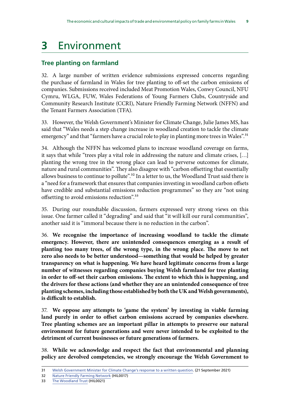## <span id="page-10-0"></span>**3** Environment

### **Tree planting on farmland**

32. A large number of written evidence submissions expressed concerns regarding the purchase of farmland in Wales for tree planting to off-set the carbon emissions of companies. Submissions received included Meat Promotion Wales, Conwy Council, NFU Cymru, WLGA, FUW, Wales Federations of Young Farmers Clubs, Countryside and Community Research Institute (CCRI), Nature Friendly Farming Network (NFFN) and the Tenant Farmers Association (TFA).

33. However, the Welsh Government's Minister for Climate Change, Julie James MS, has said that "Wales needs a step change increase in woodland creation to tackle the climate emergency" and that "farmers have a crucial role to play in planting more trees in Wales".<sup>31</sup>

34. Although the NFFN has welcomed plans to increase woodland coverage on farms, it says that while "trees play a vital role in addressing the nature and climate crises, […] planting the wrong tree in the wrong place can lead to perverse outcomes for climate, nature and rural communities". They also disagree with "carbon offsetting that essentially allows business to continue to pollute".32 In a letter to us, the Woodland Trust said there is a "need for a framework that ensures that companies investing in woodland carbon offsets have credible and substantial emissions reduction programmes" so they are "not using offsetting to avoid emissions reduction".33

35. During our roundtable discussion, farmers expressed very strong views on this issue. One farmer called it "degrading" and said that "it will kill our rural communities", another said it is "immoral because there is no reduction in the carbon".

36. **We recognise the importance of increasing woodland to tackle the climate emergency. However, there are unintended consequences emerging as a result of planting too many trees, of the wrong type, in the wrong place. The move to net zero also needs to be better understood—something that would be helped by greater transparency on what is happening. We have heard legitimate concerns from a large number of witnesses regarding companies buying Welsh farmland for tree planting in order to off-set their carbon emissions. The extent to which this is happening, and the drivers for these actions (and whether they are an unintended consequence of tree planting schemes, including those established by both the UK and Welsh governments), is difficult to establish.**

37. **We oppose any attempts to 'game the system' by investing in viable farming land purely in order to offset carbon emissions accrued by companies elsewhere. Tree planting schemes are an important pillar in attempts to preserve our natural environment for future generations and were never intended to be exploited to the detriment of current businesses or future generations of farmers.**

38. **While we acknowledge and respect the fact that environmental and planning policy are devolved competencies, we strongly encourage the Welsh Government to** 

<sup>31</sup> [Welsh Government Minister for Climate Change's response to a written question](https://record.senedd.wales/WrittenQuestion/83435). (21 September 2021)

<sup>32</sup> [Nature Friendly Farming Network](https://committees.parliament.uk/writtenevidence/40886/pdf/) (HIL0017)

<sup>33</sup> [The Woodland Trust](https://committees.parliament.uk/writtenevidence/42951/pdf/) (HIL0021)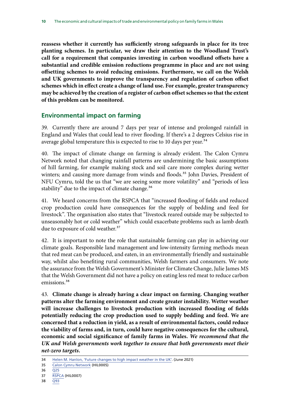<span id="page-11-0"></span>**reassess whether it currently has sufficiently strong safeguards in place for its tree planting schemes. In particular, we draw their attention to the Woodland Trust's call for a requirement that companies investing in carbon woodland offsets have a substantial and credible emission reductions programme in place and are not using offsetting schemes to avoid reducing emissions. Furthermore, we call on the Welsh and UK governments to improve the transparency and regulation of carbon offset schemes which in effect create a change of land use. For example, greater transparency may be achieved by the creation of a register of carbon offset schemes so that the extent of this problem can be monitored.**

#### **Environmental impact on farming**

39. Currently there are around 7 days per year of intense and prolonged rainfall in England and Wales that could lead to river flooding. If there's a 2 degrees Celsius rise in average global temperature this is expected to rise to 10 days per year. $34$ 

40. The impact of climate change on farming is already evident. The Calon Cymru Network noted that changing rainfall patterns are undermining the basic assumptions of hill farming, for example making stock and soil care more complex during wetter winters; and causing more damage from winds and floods.<sup>35</sup> John Davies, President of NFU Cymru, told the us that "we are seeing some more volatility" and "periods of less stability" due to the impact of climate change.<sup>36</sup>

41. We heard concerns from the RSPCA that "increased flooding of fields and reduced crop production could have consequences for the supply of bedding and feed for livestock". The organisation also states that "livestock reared outside may be subjected to unseasonably hot or cold weather" which could exacerbate problems such as lamb death due to exposure of cold weather.<sup>37</sup>

42. It is important to note the role that sustainable farming can play in achieving our climate goals. Responsible land management and low-intensity farming methods mean that red meat can be produced, and eaten, in an environmentally friendly and sustainable way, whilst also benefiting rural communities, Welsh farmers and consumers. We note the assurance from the Welsh Government's Minister for Climate Change, Julie James MS that the Welsh Government did not have a policy on eating less red meat to reduce carbon emissions.<sup>38</sup>

43. **Climate change is already having a clear impact on farming. Changing weather patterns alter the farming environment and create greater instability. Wetter weather will increase challenges to livestock production with increased flooding of fields potentially reducing the crop production used to supply bedding and feed. We are concerned that a reduction in yield, as a result of environmental factors, could reduce the viability of farms and, in turn, could have negative consequences for the cultural, economic and social significance of family farms in Wales.** *We recommend that the UK and Welsh governments work together to ensure that both governments meet their net-zero targets.*

<sup>34</sup> [Helen M. Hanlon, 'Future changes to high impact weather in the UK'.](https://link.springer.com/article/10.1007/s10584-021-03100-5) (June 2021)

<sup>35</sup> [Calon Cymru Network](https://committees.parliament.uk/writtenevidence/40395/pdf/) (HIL0005)

<sup>36</sup> [Q25](https://committees.parliament.uk/oralevidence/3076/pdf/)

<sup>37</sup> [RSPCA](https://committees.parliament.uk/writtenevidence/40399/pdf/) (HIL0007)

<sup>38</sup> [Q93](https://committees.parliament.uk/oralevidence/3393/pdf/)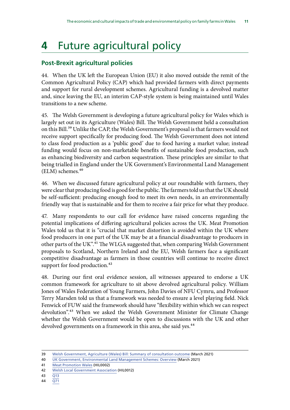## <span id="page-12-0"></span>**4** Future agricultural policy

### **Post-Brexit agricultural policies**

44. When the UK left the European Union (EU) it also moved outside the remit of the Common Agricultural Policy (CAP) which had provided farmers with direct payments and support for rural development schemes. Agricultural funding is a devolved matter and, since leaving the EU, an interim CAP-style system is being maintained until Wales transitions to a new scheme.

45. The Welsh Government is developing a future agricultural policy for Wales which is largely set out in its Agriculture (Wales) Bill. The Welsh Government held a consultation on this Bill.<sup>39</sup> Unlike the CAP, the Welsh Government's proposal is that farmers would not receive support specifically for producing food. The Welsh Government does not intend to class food production as a 'public good' due to food having a market value; instead funding would focus on non-marketable benefits of sustainable food production, such as enhancing biodiversity and carbon sequestration. These principles are similar to that being trialled in England under the UK Government's Environmental Land Management (ELM) schemes.<sup>40</sup>

46. When we discussed future agricultural policy at our roundtable with farmers, they were clear that producing food is good for the public. The farmers told us that the UK should be self-sufficient: producing enough food to meet its own needs, in an environmentally friendly way that is sustainable and for them to receive a fair price for what they produce.

47. Many respondents to our call for evidence have raised concerns regarding the potential implications of differing agricultural policies across the UK. Meat Promotion Wales told us that it is "crucial that market distortion is avoided within the UK where food producers in one part of the UK may be at a financial disadvantage to producers in other parts of the UK".<sup>41</sup> The WLGA suggested that, when comparing Welsh Government proposals to Scotland, Northern Ireland and the EU, Welsh farmers face a significant competitive disadvantage as farmers in those countries will continue to receive direct support for food production.<sup>42</sup>

48. During our first oral evidence session, all witnesses appeared to endorse a UK common framework for agriculture to sit above devolved agricultural policy. William Jones of Wales Federation of Young Farmers, John Davies of NFU Cymru, and Professor Terry Marsden told us that a framework was needed to ensure a level playing field. Nick Fenwick of FUW said the framework should have "flexibility within which we can respect devolution".43 When we asked the Welsh Government Minister for Climate Change whether the Welsh Government would be open to discussions with the UK and other devolved governments on a framework in this area, she said yes.<sup>44</sup>

41 [Meat Promotion Wales](https://committees.parliament.uk/writtenevidence/38878/pdf/) (HIL0002)

<sup>39</sup> [Welsh Government, Agriculture \(Wales\) Bill: Summary of consultation outcome](https://gov.wales/agriculture-wales-bill) (March 2021)

<sup>40</sup> [UK Government, Environmental Land Management Schemes: Overview](https://www.gov.uk/government/publications/environmental-land-management-schemes-overview/environmental-land-management-scheme-overview) (March 2021)

<sup>42</sup> [Welsh Local Government Association](https://committees.parliament.uk/writtenevidence/40515/pdf/) (HIL0012)

<sup>43</sup> [Q13](https://committees.parliament.uk/oralevidence/3075/pdf/)

<sup>44</sup> [Q71](https://committees.parliament.uk/oralevidence/3393/pdf/)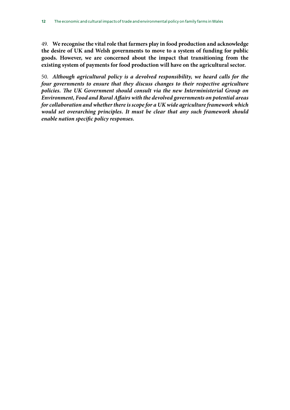49. **We recognise the vital role that farmers play in food production and acknowledge the desire of UK and Welsh governments to move to a system of funding for public goods. However, we are concerned about the impact that transitioning from the existing system of payments for food production will have on the agricultural sector.**

50. *Although agricultural policy is a devolved responsibility, we heard calls for the four governments to ensure that they discuss changes to their respective agriculture policies. The UK Government should consult via the new Interministerial Group on Environment, Food and Rural Affairs with the devolved governments on potential areas for collaboration and whether there is scope for a UK wide agriculture framework which would set overarching principles. It must be clear that any such framework should enable nation specific policy responses.*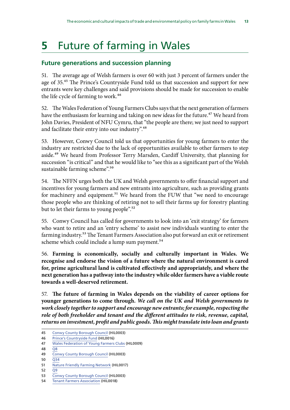## <span id="page-14-0"></span>**5** Future of farming in Wales

### **Future generations and succession planning**

51. The average age of Welsh farmers is over 60 with just 3 percent of farmers under the age of 35.45 The Prince's Countryside Fund told us that succession and support for new entrants were key challenges and said provisions should be made for succession to enable the life cycle of farming to work.<sup>46</sup>

52. The Wales Federation of Young Farmers Clubs says that the next generation of farmers have the enthusiasm for learning and taking on new ideas for the future.<sup>47</sup> We heard from John Davies, President of NFU Cymru, that "the people are there; we just need to support and facilitate their entry into our industry".<sup>48</sup>

53. However, Conwy Council told us that opportunities for young farmers to enter the industry are restricted due to the lack of opportunities available to other farmers to step aside.49 We heard from Professor Terry Marsden, Cardiff University, that planning for succession "is critical" and that he would like to "see this as a significant part of the Welsh sustainable farming scheme".<sup>50</sup>

54. The NFFN urges both the UK and Welsh governments to offer financial support and incentives for young farmers and new entrants into agriculture, such as providing grants for machinery and equipment.<sup>51</sup> We heard from the FUW that "we need to encourage those people who are thinking of retiring not to sell their farms up for forestry planting but to let their farms to young people".<sup>52</sup>

55. Conwy Council has called for governments to look into an 'exit strategy' for farmers who want to retire and an 'entry scheme' to assist new individuals wanting to enter the farming industry.<sup>53</sup> The Tenant Farmers Association also put forward an exit or retirement scheme which could include a lump sum payment.<sup>54</sup>

56. **Farming is economically, socially and culturally important in Wales. We recognise and endorse the vision of a future where the natural environment is cared for, prime agricultural land is cultivated effectively and appropriately, and where the next generation has a pathway into the industry while older farmers have a viable route towards a well-deserved retirement.**

57. **The future of farming in Wales depends on the viability of career options for younger generations to come through.** *We call on the UK and Welsh governments to work closely together to support and encourage new entrants; for example, respecting the role of both freeholder and tenant and the different attitudes to risk, revenue, capital, returns on investment, profit and public goods. This might translate into loan and grants* 

<sup>45</sup> [Conwy County Borough Council](https://committees.parliament.uk/writtenevidence/39591/pdf/) (HIL0003)

<sup>46</sup> [Prince's Countryside Fund](https://committees.parliament.uk/writtenevidence/40683/pdf/) (HIL0016)

<sup>47</sup> [Wales Federation of Young Farmers Clubs](https://committees.parliament.uk/writtenevidence/40421/pdf/) (HIL0009)

<sup>48</sup> O<sub>8</sub>

<sup>49</sup> [Conwy County Borough Council](https://committees.parliament.uk/writtenevidence/39591/pdf/) (HIL0003)

<sup>50</sup> [Q34](https://committees.parliament.uk/oralevidence/3075/pdf/)

<sup>51</sup> [Nature Friendly Farming Network](https://committees.parliament.uk/writtenevidence/40886/pdf/) (HIL0017)

<sup>52</sup> [Q9](https://committees.parliament.uk/oralevidence/3075/pdf/)

<sup>53</sup> [Conwy County Borough Council](https://committees.parliament.uk/writtenevidence/39591/pdf/) (HIL0003)

<sup>54</sup> [Tenant Farmers Association](https://committees.parliament.uk/writtenevidence/40888/pdf/) (HIL0018)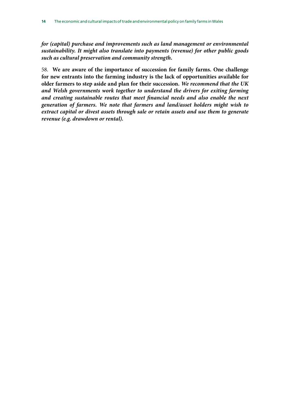*for (capital) purchase and improvements such as land management or environmental sustainability. It might also translate into payments (revenue) for other public goods such as cultural preservation and community strength.*

58. **We are aware of the importance of succession for family farms. One challenge for new entrants into the farming industry is the lack of opportunities available for older farmers to step aside and plan for their succession.** *We recommend that the UK and Welsh governments work together to understand the drivers for exiting farming and creating sustainable routes that meet financial needs and also enable the next generation of farmers. We note that farmers and land/asset holders might wish to extract capital or divest assets through sale or retain assets and use them to generate revenue (e.g. drawdown or rental).*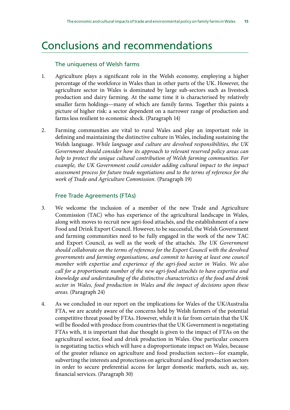## Conclusions and recommendations

#### The uniqueness of Welsh farms

- 1. Agriculture plays a significant role in the Welsh economy, employing a higher percentage of the workforce in Wales than in other parts of the UK. However, the agriculture sector in Wales is dominated by large sub-sectors such as livestock production and dairy farming. At the same time it is characterised by relatively smaller farm holdings—many of which are family farms. Together this paints a picture of higher risk: a sector dependent on a narrower range of production and farms less resilient to economic shock. (Paragraph 14)
- 2. Farming communities are vital to rural Wales and play an important role in defining and maintaining the distinctive culture in Wales, including sustaining the Welsh language. *While language and culture are devolved responsibilities, the UK Government should consider how its approach to relevant reserved policy areas can help to protect the unique cultural contribution of Welsh farming communities. For*  example, the UK Government could consider adding cultural impact to the impact *assessment process for future trade negotiations and to the terms of reference for the work of Trade and Agriculture Commission.* (Paragraph 19)

#### Free Trade Agreements (FTAs)

- 3. We welcome the inclusion of a member of the new Trade and Agriculture Commission (TAC) who has experience of the agricultural landscape in Wales, along with moves to recruit new agri-food attachés, and the establishment of a new Food and Drink Export Council. However, to be successful, the Welsh Government and farming communities need to be fully engaged in the work of the new TAC and Export Council, as well as the work of the attachés. *The UK Government should collaborate on the terms of reference for the Export Council with the devolved governments and farming organisations, and commit to having at least one council member with expertise and experience of the agri-food sector in Wales. We also call for a proportionate number of the new agri-food attachés to have expertise and knowledge and understanding of the distinctive characteristics of the food and drink sector in Wales, food production in Wales and the impact of decisions upon these areas.* (Paragraph 24)
- 4. As we concluded in our report on the implications for Wales of the UK/Australia FTA, we are acutely aware of the concerns held by Welsh farmers of the potential competitive threat posed by FTAs. However, while it is far from certain that the UK will be flooded with produce from countries that the UK Government is negotiating FTAs with, it is important that due thought is given to the impact of FTAs on the agricultural sector, food and drink production in Wales. One particular concern is negotiating tactics which will have a disproportionate impact on Wales, because of the greater reliance on agriculture and food production sectors—for example, subverting the interests and protections on agricultural and food production sectors in order to secure preferential access for larger domestic markets, such as, say, financial services. (Paragraph 30)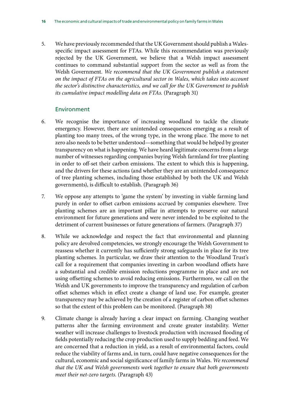5. We have previously recommended that the UK Government should publish a Walesspecific impact assessment for FTAs. While this recommendation was previously rejected by the UK Government, we believe that a Welsh impact assessment continues to command substantial support from the sector as well as from the Welsh Government. *We recommend that the UK Government publish a statement on the impact of FTAs on the agricultural sector in Wales, which takes into account the sector's distinctive characteristics, and we call for the UK Government to publish its cumulative impact modelling data on FTAs.* (Paragraph 31)

#### Environment

- 6. We recognise the importance of increasing woodland to tackle the climate emergency. However, there are unintended consequences emerging as a result of planting too many trees, of the wrong type, in the wrong place. The move to net zero also needs to be better understood—something that would be helped by greater transparency on what is happening. We have heard legitimate concerns from a large number of witnesses regarding companies buying Welsh farmland for tree planting in order to off-set their carbon emissions. The extent to which this is happening, and the drivers for these actions (and whether they are an unintended consequence of tree planting schemes, including those established by both the UK and Welsh governments), is difficult to establish. (Paragraph 36)
- 7. We oppose any attempts to 'game the system' by investing in viable farming land purely in order to offset carbon emissions accrued by companies elsewhere. Tree planting schemes are an important pillar in attempts to preserve our natural environment for future generations and were never intended to be exploited to the detriment of current businesses or future generations of farmers. (Paragraph 37)
- 8. While we acknowledge and respect the fact that environmental and planning policy are devolved competencies, we strongly encourage the Welsh Government to reassess whether it currently has sufficiently strong safeguards in place for its tree planting schemes. In particular, we draw their attention to the Woodland Trust's call for a requirement that companies investing in carbon woodland offsets have a substantial and credible emission reductions programme in place and are not using offsetting schemes to avoid reducing emissions. Furthermore, we call on the Welsh and UK governments to improve the transparency and regulation of carbon offset schemes which in effect create a change of land use. For example, greater transparency may be achieved by the creation of a register of carbon offset schemes so that the extent of this problem can be monitored. (Paragraph 38)
- 9. Climate change is already having a clear impact on farming. Changing weather patterns alter the farming environment and create greater instability. Wetter weather will increase challenges to livestock production with increased flooding of fields potentially reducing the crop production used to supply bedding and feed. We are concerned that a reduction in yield, as a result of environmental factors, could reduce the viability of farms and, in turn, could have negative consequences for the cultural, economic and social significance of family farms in Wales. *We recommend that the UK and Welsh governments work together to ensure that both governments meet their net-zero targets.* (Paragraph 43)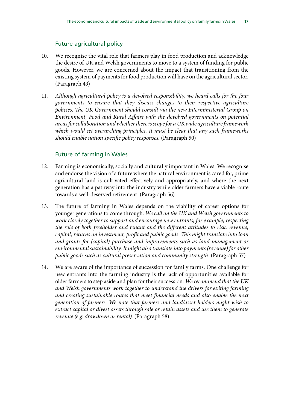### Future agricultural policy

- 10. We recognise the vital role that farmers play in food production and acknowledge the desire of UK and Welsh governments to move to a system of funding for public goods. However, we are concerned about the impact that transitioning from the existing system of payments for food production will have on the agricultural sector. (Paragraph 49)
- 11. *Although agricultural policy is a devolved responsibility, we heard calls for the four governments to ensure that they discuss changes to their respective agriculture policies. The UK Government should consult via the new Interministerial Group on Environment, Food and Rural Affairs with the devolved governments on potential areas for collaboration and whether there is scope for a UK wide agriculture framework which would set overarching principles. It must be clear that any such frameworks should enable nation specific policy responses.* (Paragraph 50)

#### Future of farming in Wales

- 12. Farming is economically, socially and culturally important in Wales. We recognise and endorse the vision of a future where the natural environment is cared for, prime agricultural land is cultivated effectively and appropriately, and where the next generation has a pathway into the industry while older farmers have a viable route towards a well-deserved retirement. (Paragraph 56)
- 13. The future of farming in Wales depends on the viability of career options for younger generations to come through. *We call on the UK and Welsh governments to work closely together to support and encourage new entrants; for example, respecting the role of both freeholder and tenant and the different attitudes to risk, revenue, capital, returns on investment, profit and public goods. This might translate into loan and grants for (capital) purchase and improvements such as land management or environmental sustainability. It might also translate into payments (revenue) for other public goods such as cultural preservation and community strength.* (Paragraph 57)
- 14. We are aware of the importance of succession for family farms. One challenge for new entrants into the farming industry is the lack of opportunities available for older farmers to step aside and plan for their succession. *We recommend that the UK and Welsh governments work together to understand the drivers for exiting farming and creating sustainable routes that meet financial needs and also enable the next generation of farmers. We note that farmers and land/asset holders might wish to extract capital or divest assets through sale or retain assets and use them to generate revenue (e.g. drawdown or rental).* (Paragraph 58)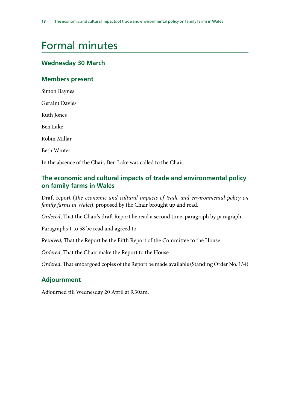## <span id="page-19-0"></span>Formal minutes

### **Wednesday 30 March**

#### **Members present**

Simon Baynes Geraint Davies Ruth Jones Ben Lake Robin Millar Beth Winter In the absence of the Chair, Ben Lake was called to the Chair.

### **The economic and cultural impacts of trade and environmental policy on family farms in Wales**

Draft report (*The economic and cultural impacts of trade and environmental policy on family farms in Wales*), proposed by the Chair brought up and read.

*Ordered*, That the Chair's draft Report be read a second time, paragraph by paragraph.

Paragraphs 1 to 58 be read and agreed to.

*Resolved*, That the Report be the Fifth Report of the Committee to the House.

*Ordered*, That the Chair make the Report to the House.

*Ordered*, That embargoed copies of the Report be made available (Standing Order No. 134)

### **Adjournment**

Adjourned till Wednesday 20 April at 9.30am.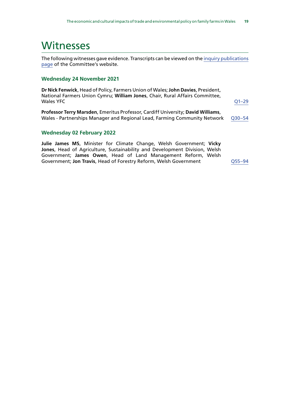### <span id="page-20-0"></span>**Witnesses**

The following witnesses gave evidence. Transcripts can be viewed on the [inquiry publications](https://committees.parliament.uk/work/1424/default/publications/oral-evidence/) [page](https://committees.parliament.uk/work/1424/default/publications/oral-evidence/) of the Committee's website.

#### **Wednesday 24 November 2021**

**Dr Nick Fenwick**, Head of Policy, Farmers Union of Wales; **John Davies**, President, National Farmers Union Cymru; **William Jones**, Chair, Rural Affairs Committee, Wales YFC [Q1–29](https://committees.parliament.uk/oralevidence/3075/html/)

**Professor Terry Marsden**, Emeritus Professor, Cardiff University; **David Williams**, Wales - Partnerships Manager and Regional Lead, Farming Community Network [Q30–54](https://committees.parliament.uk/oralevidence/3075/html/)

#### **Wednesday 02 February 2022**

**Julie James MS**, Minister for Climate Change, Welsh Government; **Vicky Jones**, Head of Agriculture, Sustainability and Development Division, Welsh Government; **James Owen**, Head of Land Management Reform, Welsh Government; **Jon Travis**, Head of Forestry Reform, Welsh Government [Q55–94](https://committees.parliament.uk/oralevidence/3393/html/)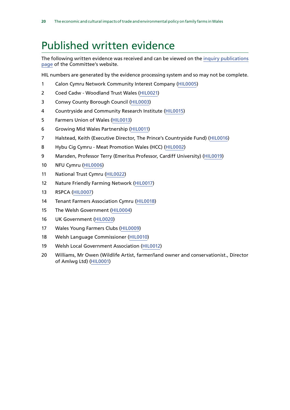## <span id="page-21-0"></span>Published written evidence

The following written evidence was received and can be viewed on the [inquiry publications](https://committees.parliament.uk/work/1424/default/publications/written-evidence/) [page](https://committees.parliament.uk/work/1424/default/publications/written-evidence/) of the Committee's website.

HIL numbers are generated by the evidence processing system and so may not be complete.

- Calon Cymru Network Community Interest Company ([HIL0005\)](https://committees.parliament.uk/writtenevidence/40395/html/)
- Coed Cadw Woodland Trust Wales [\(HIL0021\)](https://committees.parliament.uk/writtenevidence/42951/html/)
- Conwy County Borough Council ([HIL0003\)](https://committees.parliament.uk/writtenevidence/39591/html/)
- Countryside and Community Research Institute ([HIL0015\)](https://committees.parliament.uk/writtenevidence/40530/html/)
- Farmers Union of Wales ([HIL0013](https://committees.parliament.uk/writtenevidence/40528/html/))
- Growing Mid Wales Partnership [\(HIL0011](https://committees.parliament.uk/writtenevidence/40456/html/))
- Halstead, Keith (Executive Director, The Prince's Countryside Fund) ([HIL0016\)](https://committees.parliament.uk/writtenevidence/40683/html/)
- Hybu Cig Cymru Meat Promotion Wales (HCC) ([HIL0002\)](https://committees.parliament.uk/writtenevidence/38878/html/)
- Marsden, Professor Terry (Emeritus Professor, Cardiff University) [\(HIL0019](https://committees.parliament.uk/writtenevidence/40950/html/))
- NFU Cymru ([HIL0006](https://committees.parliament.uk/writtenevidence/40398/html/))
- National Trust Cymru [\(HIL0022\)](https://committees.parliament.uk/writtenevidence/43031/html/)
- Nature Friendly Farming Network ([HIL0017\)](https://committees.parliament.uk/writtenevidence/40886/html/)
- RSPCA [\(HIL0007](https://committees.parliament.uk/writtenevidence/40399/html/))
- Tenant Farmers Association Cymru [\(HIL0018](https://committees.parliament.uk/writtenevidence/40888/html/))
- The Welsh Government [\(HIL0004\)](https://committees.parliament.uk/writtenevidence/40189/html/)
- UK Government ([HIL0020](https://committees.parliament.uk/writtenevidence/42110/html/))
- Wales Young Farmers Clubs [\(HIL0009](https://committees.parliament.uk/writtenevidence/40421/html/))
- Welsh Language Commissioner [\(HIL0010\)](https://committees.parliament.uk/writtenevidence/40444/html/)
- Welsh Local Government Association [\(HIL0012](https://committees.parliament.uk/writtenevidence/40515/html/))
- Williams, Mr Owen (Wildlife Artist, farmer/land owner and conservationist., Director of Amlwg Ltd) ([HIL0001](https://committees.parliament.uk/writtenevidence/38061/html/))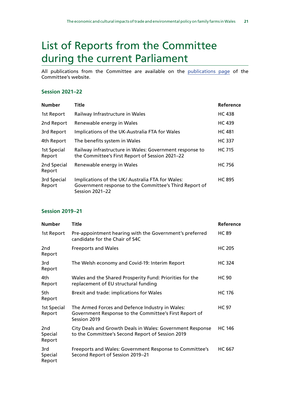## <span id="page-22-0"></span>List of Reports from the Committee during the current Parliament

All publications from the Committee are available on the [publications page](https://committees.parliament.uk/committee/162/welsh-affairs-committee/publications/) of the Committee's website.

#### **Session 2021–22**

| <b>Number</b>         | Title                                                                                                                         | Reference     |
|-----------------------|-------------------------------------------------------------------------------------------------------------------------------|---------------|
| 1st Report            | Railway Infrastructure in Wales                                                                                               | <b>HC 438</b> |
| 2nd Report            | Renewable energy in Wales                                                                                                     | <b>HC 439</b> |
| 3rd Report            | Implications of the UK-Australia FTA for Wales                                                                                | <b>HC 481</b> |
| 4th Report            | The benefits system in Wales                                                                                                  | <b>HC 337</b> |
| 1st Special<br>Report | Railway infrastructure in Wales: Government response to<br>the Committee's First Report of Session 2021-22                    | <b>HC 715</b> |
| 2nd Special<br>Report | Renewable energy in Wales                                                                                                     | <b>HC 756</b> |
| 3rd Special<br>Report | Implications of the UK/ Australia FTA for Wales:<br>Government response to the Committee's Third Report of<br>Session 2021-22 | <b>HC 895</b> |

#### **Session 2019–21**

| <b>Number</b>                        | Title                                                                                                                     | Reference     |
|--------------------------------------|---------------------------------------------------------------------------------------------------------------------------|---------------|
| 1st Report                           | Pre-appointment hearing with the Government's preferred<br>candidate for the Chair of S4C                                 | <b>HC 89</b>  |
| 2nd<br>Report                        | <b>Freeports and Wales</b>                                                                                                | <b>HC 205</b> |
| 3rd<br>Report                        | The Welsh economy and Covid-19: Interim Report                                                                            | <b>HC 324</b> |
| 4th.<br>Report                       | Wales and the Shared Prosperity Fund: Priorities for the<br>replacement of EU structural funding                          | <b>HC 90</b>  |
| 5th<br>Report                        | Brexit and trade: implications for Wales                                                                                  | <b>HC 176</b> |
| 1st Special<br>Report                | The Armed Forces and Defence Industry in Wales:<br>Government Response to the Committee's First Report of<br>Session 2019 | <b>HC 97</b>  |
| 2 <sub>nd</sub><br>Special<br>Report | City Deals and Growth Deals in Wales: Government Response<br>to the Committee's Second Report of Session 2019             | <b>HC 146</b> |
| 3rd<br>Special<br>Report             | Freeports and Wales: Government Response to Committee's<br>Second Report of Session 2019-21                               | <b>HC 667</b> |